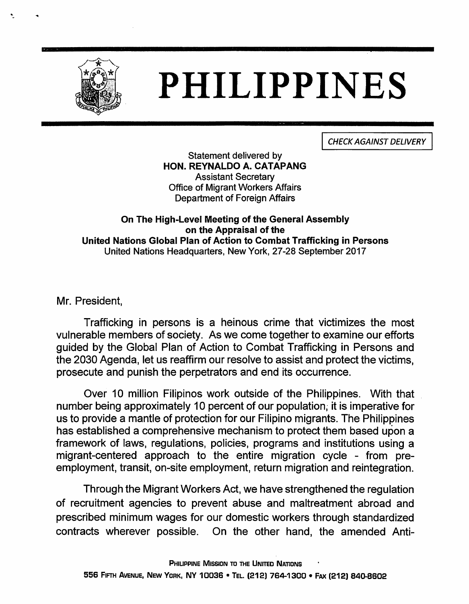

## PHILIPPINES

CHECK AGAINST DELIVERY

Statement delivered by HON. REYNALDO A. CATAPANG Assistant Secretary Office of Migrant Workers Affairs Department of Foreign Affairs

## On The High-Level Meeting of the General Assembly on the Appraisal of the United Nations Global Plan of Action to Combat Trafficking in Persons United Nations Headquarters, New York, 27-28 September 2017

Mr. President,

Trafficking in persons is a heinous crime that victimizes the most vulnerable members of society. As we come together to examine our efforts guided by the Global Plan of Action to Combat Trafficking in Persons and the 2030 Agenda, let us reaffirm our resolve to assist and protect the victims, prosecute and punish the perpetrators and end its occurrence.

Over 10 million Filipinos work outside of the Philippines. With that number being approximately 10 percent of our population, it is imperative for us to provide a mantle of protection for our Filipino migrants. The Philippines has established a comprehensive mechanism to protect them based upon a framework of laws, regulations, policies, programs and institutions using a migrant-centered approach to the entire migration cycle - from preemployment, transit, on-site employment, return migration and reintegration.

Through the Migrant Workers Act, we have strengthened the regulation of recruitment agencies to prevent abuse and maltreatment abroad and prescribed minimum wages for our domestic workers through standardized contracts wherever possible. On the other hand, the amended Anti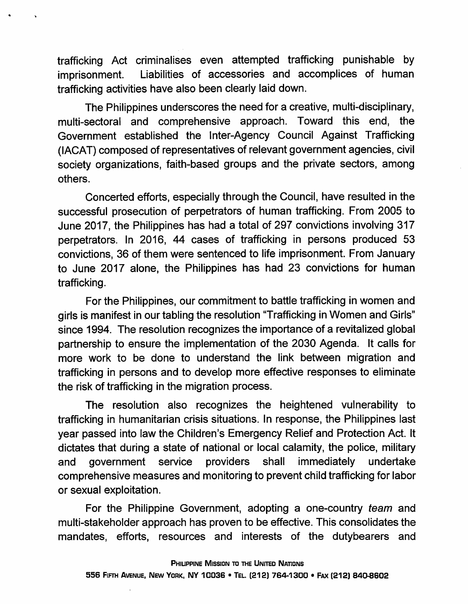trafficking Act criminalises even attempted trafficking punishable by imprisonment. Liabilities of accessories and accomplices of human trafficking activities have also been clearly laid down.

The Philippines underscores the need for a creative, multi-disciplinary, multi-sectoral and comprehensive approach. Toward this end, the Government established the Inter-Agency Council Against Trafficking (lACAT) composed of representatives of relevant government agencies, civil society organizations, faith-based groups and the private sectors, among others.

Concerted efforts, especially through the Council, have resulted in the successful prosecution of perpetrators of human trafficking. From 2005 to June 2017, the Philippines has had a total of 297 convictions involving 317 perpetrators. In 2016, 44 cases of trafficking in persons produced 53 convictions, 36 of them were sentenced to life imprisonment. From January to June 2017 alone, the Philippines has had 23 convictions for human trafficking.

For the Philippines, our commitment to battle trafficking in women and girls is manifest in our tabling the resolution "Trafficking inWomen and Girls" since 1994. The resolution recognizes the importance of a revitalized global partnership to ensure the implementation of the 2030 Agenda. It calls for more work to be done to understand the link between migration and trafficking in persons and to develop more effective responses to eliminate the risk of trafficking in the migration process.

The resolution also recognizes the heightened vulnerability to trafficking in humanitarian crisis situations. In response, the Philippines last year passed into law the Children's Emergency Relief and Protection Act. It dictates that during a state of national or local calamity, the police, military and government service providers shall immediately undertake comprehensive measures and monitoring to prevent child trafficking for labor or sexual exploitation.

For the Philippine Government, adopting a one-country team and multi-stakeholder approach has proven to be effective. This consolidates the mandates, efforts, resources and interests of the dutybearers and